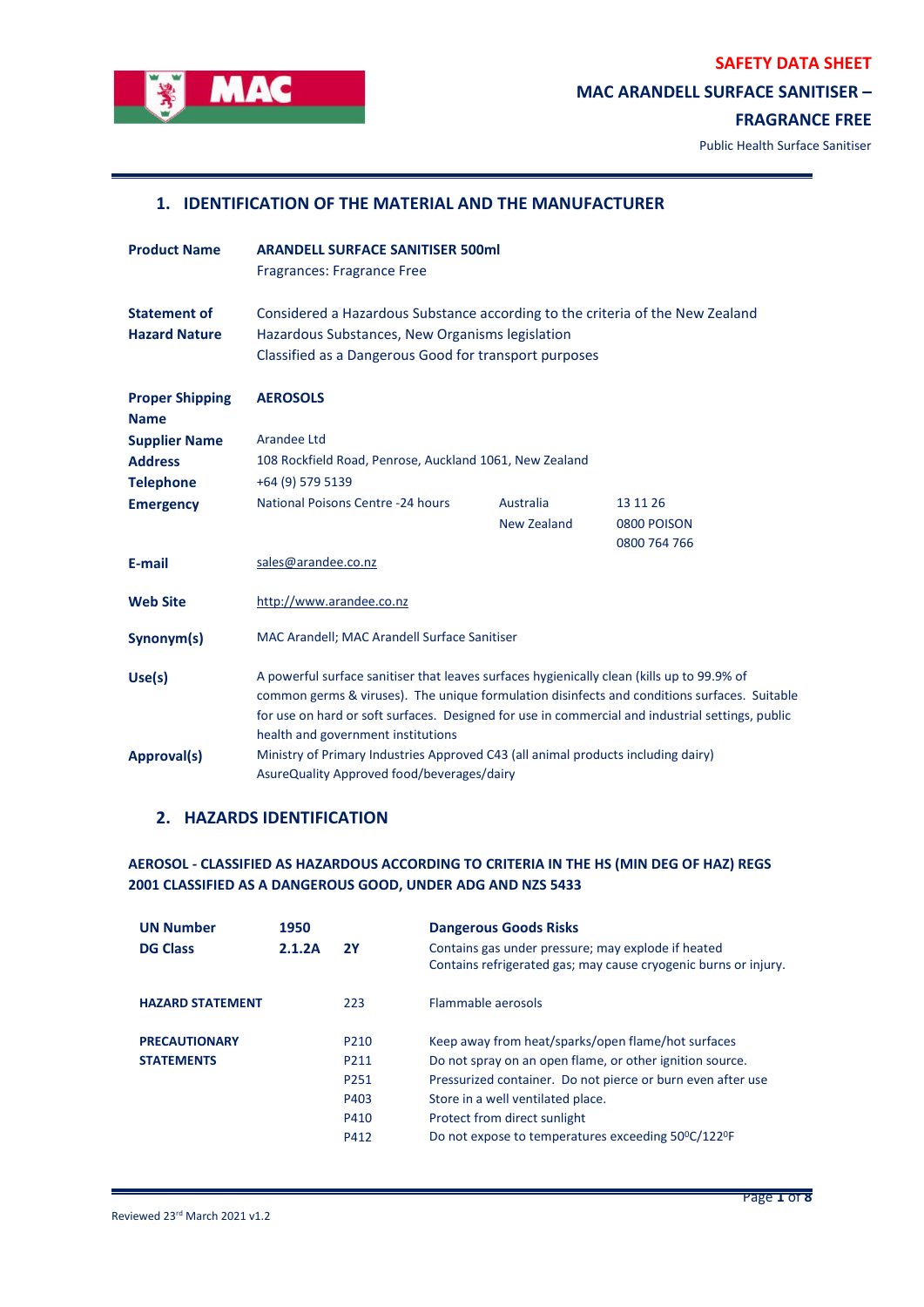

# **MAC ARANDELL SURFACE SANITISER –**

## **FRAGRANCE FREE**

Public Health Surface Sanitiser

## **1. IDENTIFICATION OF THE MATERIAL AND THE MANUFACTURER**

| <b>Product Name</b>                         | <b>ARANDELL SURFACE SANITISER 500ml</b><br>Fragrances: Fragrance Free                                                                                                                                                                                                                                                                |                    |              |  |
|---------------------------------------------|--------------------------------------------------------------------------------------------------------------------------------------------------------------------------------------------------------------------------------------------------------------------------------------------------------------------------------------|--------------------|--------------|--|
| <b>Statement of</b><br><b>Hazard Nature</b> | Considered a Hazardous Substance according to the criteria of the New Zealand<br>Hazardous Substances, New Organisms legislation<br>Classified as a Dangerous Good for transport purposes                                                                                                                                            |                    |              |  |
| <b>Proper Shipping</b><br><b>Name</b>       | <b>AEROSOLS</b>                                                                                                                                                                                                                                                                                                                      |                    |              |  |
| <b>Supplier Name</b>                        | Arandee Ltd                                                                                                                                                                                                                                                                                                                          |                    |              |  |
| <b>Address</b>                              | 108 Rockfield Road, Penrose, Auckland 1061, New Zealand                                                                                                                                                                                                                                                                              |                    |              |  |
| <b>Telephone</b>                            | +64 (9) 579 5139                                                                                                                                                                                                                                                                                                                     |                    |              |  |
| <b>Emergency</b>                            | National Poisons Centre -24 hours                                                                                                                                                                                                                                                                                                    | Australia          | 13 11 26     |  |
|                                             |                                                                                                                                                                                                                                                                                                                                      | <b>New Zealand</b> | 0800 POISON  |  |
|                                             |                                                                                                                                                                                                                                                                                                                                      |                    | 0800 764 766 |  |
| E-mail                                      | sales@arandee.co.nz                                                                                                                                                                                                                                                                                                                  |                    |              |  |
| <b>Web Site</b>                             | http://www.arandee.co.nz                                                                                                                                                                                                                                                                                                             |                    |              |  |
| Synonym(s)                                  | MAC Arandell; MAC Arandell Surface Sanitiser                                                                                                                                                                                                                                                                                         |                    |              |  |
| Use(s)                                      | A powerful surface sanitiser that leaves surfaces hygienically clean (kills up to 99.9% of<br>common germs & viruses). The unique formulation disinfects and conditions surfaces. Suitable<br>for use on hard or soft surfaces. Designed for use in commercial and industrial settings, public<br>health and government institutions |                    |              |  |
| Approval(s)                                 | Ministry of Primary Industries Approved C43 (all animal products including dairy)<br>AsureQuality Approved food/beverages/dairy                                                                                                                                                                                                      |                    |              |  |

# **2. HAZARDS IDENTIFICATION**

## **AEROSOL - CLASSIFIED AS HAZARDOUS ACCORDING TO CRITERIA IN THE HS (MIN DEG OF HAZ) REGS 2001 CLASSIFIED AS A DANGEROUS GOOD, UNDER ADG AND NZS 5433**

| <b>UN Number</b>        | 1950   |                  | <b>Dangerous Goods Risks</b>                                    |
|-------------------------|--------|------------------|-----------------------------------------------------------------|
| <b>DG Class</b>         | 2.1.2A | <b>2Y</b>        | Contains gas under pressure; may explode if heated              |
|                         |        |                  | Contains refrigerated gas; may cause cryogenic burns or injury. |
| <b>HAZARD STATEMENT</b> |        | 223              | Flammable aerosols                                              |
| <b>PRECAUTIONARY</b>    |        | P <sub>210</sub> | Keep away from heat/sparks/open flame/hot surfaces              |
| <b>STATEMENTS</b>       |        | P <sub>211</sub> | Do not spray on an open flame, or other ignition source.        |
|                         |        | P251             | Pressurized container. Do not pierce or burn even after use     |
|                         |        | P403             | Store in a well ventilated place.                               |
|                         |        | P410             | Protect from direct sunlight                                    |
|                         |        | P412             | Do not expose to temperatures exceeding 50°C/122°F              |
|                         |        |                  |                                                                 |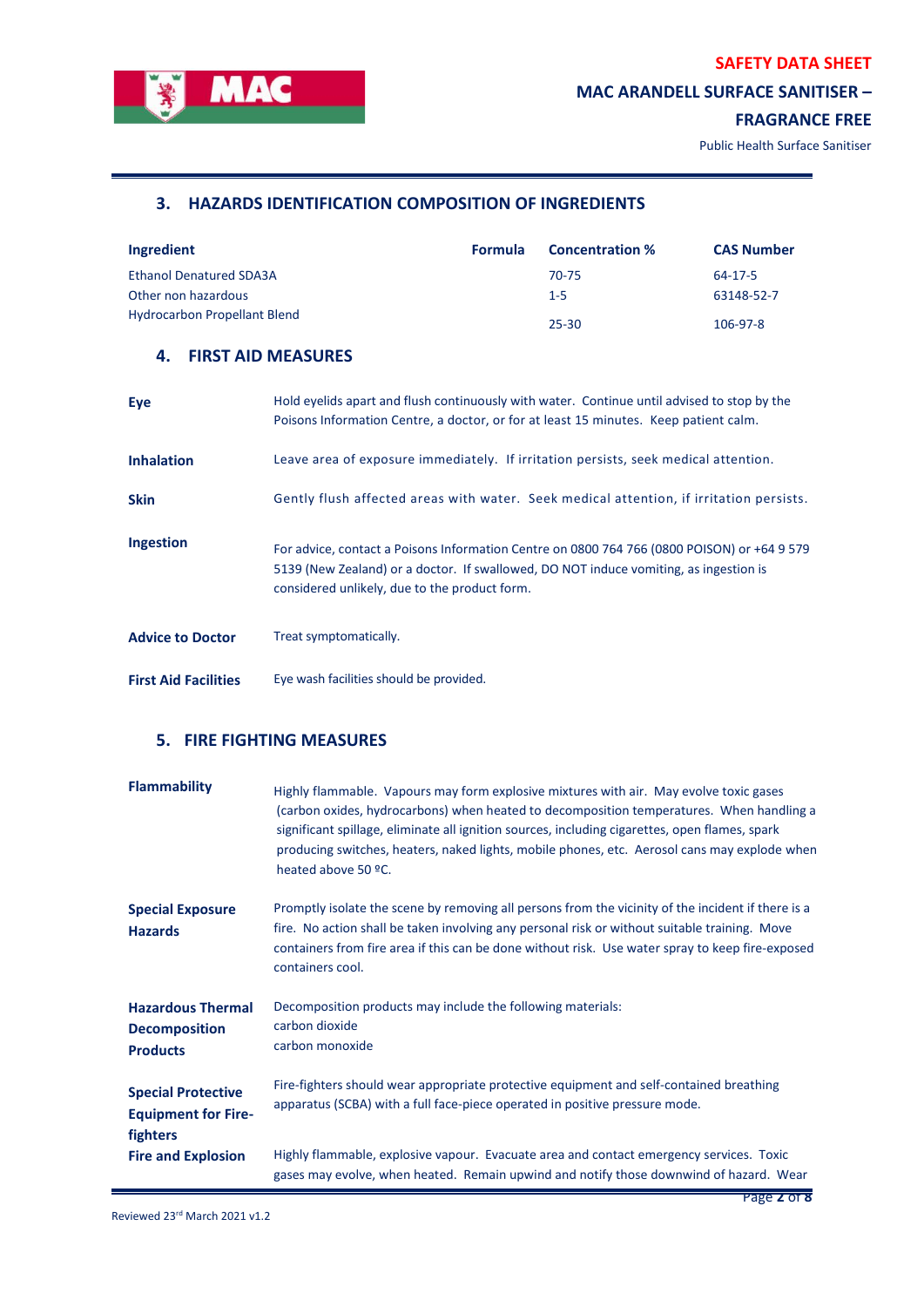

# **MAC ARANDELL SURFACE SANITISER –**

# **FRAGRANCE FREE**

L,

Public Health Surface Sanitiser

# **3. HAZARDS IDENTIFICATION COMPOSITION OF INGREDIENTS**

| Ingredient                          | <b>Formula</b> | <b>Concentration %</b> | <b>CAS Number</b> |
|-------------------------------------|----------------|------------------------|-------------------|
| <b>Ethanol Denatured SDA3A</b>      |                | 70-75                  | 64-17-5           |
| Other non hazardous                 |                | $1 - 5$                | 63148-52-7        |
| <b>Hydrocarbon Propellant Blend</b> |                | 25-30                  | 106-97-8          |

# **4. FIRST AID MEASURES**

| Eye                         | Hold eyelids apart and flush continuously with water. Continue until advised to stop by the<br>Poisons Information Centre, a doctor, or for at least 15 minutes. Keep patient calm.                                                   |
|-----------------------------|---------------------------------------------------------------------------------------------------------------------------------------------------------------------------------------------------------------------------------------|
| <b>Inhalation</b>           | Leave area of exposure immediately. If irritation persists, seek medical attention.                                                                                                                                                   |
| <b>Skin</b>                 | Gently flush affected areas with water. Seek medical attention, if irritation persists.                                                                                                                                               |
| <b>Ingestion</b>            | For advice, contact a Poisons Information Centre on 0800 764 766 (0800 POISON) or +64 9 579<br>5139 (New Zealand) or a doctor. If swallowed, DO NOT induce vomiting, as ingestion is<br>considered unlikely, due to the product form. |
| <b>Advice to Doctor</b>     | Treat symptomatically.                                                                                                                                                                                                                |
| <b>First Aid Facilities</b> | Eye wash facilities should be provided.                                                                                                                                                                                               |

# **5. FIRE FIGHTING MEASURES**

| <b>Flammability</b>                                                 | Highly flammable. Vapours may form explosive mixtures with air. May evolve toxic gases<br>(carbon oxides, hydrocarbons) when heated to decomposition temperatures. When handling a<br>significant spillage, eliminate all ignition sources, including cigarettes, open flames, spark<br>producing switches, heaters, naked lights, mobile phones, etc. Aerosol cans may explode when<br>heated above 50 °C. |
|---------------------------------------------------------------------|-------------------------------------------------------------------------------------------------------------------------------------------------------------------------------------------------------------------------------------------------------------------------------------------------------------------------------------------------------------------------------------------------------------|
| <b>Special Exposure</b><br><b>Hazards</b>                           | Promptly isolate the scene by removing all persons from the vicinity of the incident if there is a<br>fire. No action shall be taken involving any personal risk or without suitable training. Move<br>containers from fire area if this can be done without risk. Use water spray to keep fire-exposed<br>containers cool.                                                                                 |
| <b>Hazardous Thermal</b><br><b>Decomposition</b><br><b>Products</b> | Decomposition products may include the following materials:<br>carbon dioxide<br>carbon monoxide                                                                                                                                                                                                                                                                                                            |
| <b>Special Protective</b><br><b>Equipment for Fire-</b><br>fighters | Fire-fighters should wear appropriate protective equipment and self-contained breathing<br>apparatus (SCBA) with a full face-piece operated in positive pressure mode.                                                                                                                                                                                                                                      |
| <b>Fire and Explosion</b>                                           | Highly flammable, explosive vapour. Evacuate area and contact emergency services. Toxic<br>gases may evolve, when heated. Remain upwind and notify those downwind of hazard. Wear                                                                                                                                                                                                                           |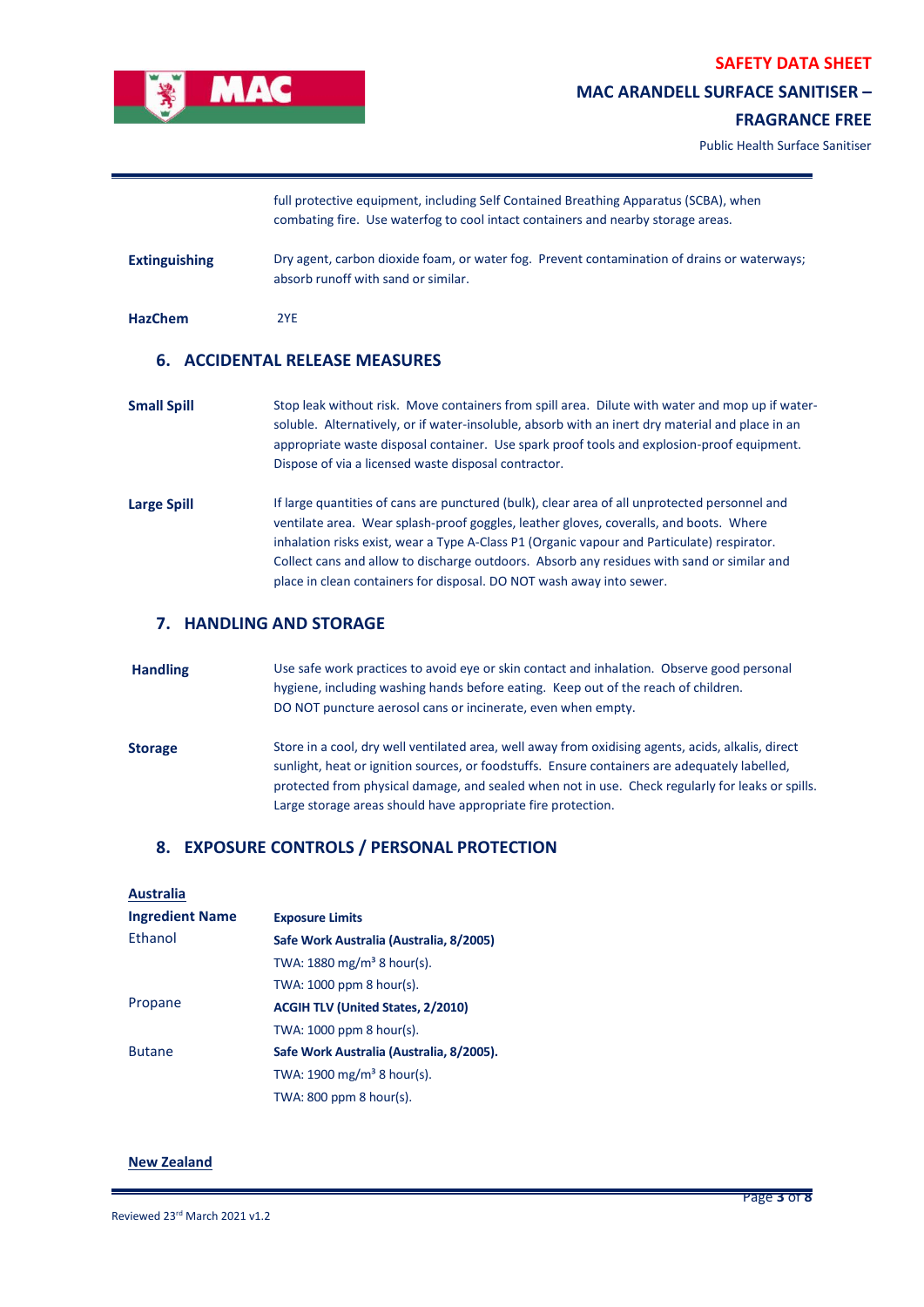

## **MAC ARANDELL SURFACE SANITISER –**

## **FRAGRANCE FREE**

Public Health Surface Sanitiser

|                      | full protective equipment, including Self Contained Breathing Apparatus (SCBA), when<br>combating fire. Use waterfog to cool intact containers and nearby storage areas.                                                                                                                                                                                  |
|----------------------|-----------------------------------------------------------------------------------------------------------------------------------------------------------------------------------------------------------------------------------------------------------------------------------------------------------------------------------------------------------|
| <b>Extinguishing</b> | Dry agent, carbon dioxide foam, or water fog. Prevent contamination of drains or waterways;<br>absorb runoff with sand or similar.                                                                                                                                                                                                                        |
| <b>HazChem</b>       | 2YE                                                                                                                                                                                                                                                                                                                                                       |
|                      | 6. ACCIDENTAL RELEASE MEASURES                                                                                                                                                                                                                                                                                                                            |
| <b>Small Spill</b>   | Stop leak without risk. Move containers from spill area. Dilute with water and mop up if water-<br>soluble. Alternatively, or if water-insoluble, absorb with an inert dry material and place in an<br>appropriate waste disposal container. Use spark proof tools and explosion-proof equipment.<br>Dispose of via a licensed waste disposal contractor. |
| <b>Large Spill</b>   | If large quantities of cans are punctured (bulk), clear area of all unprotected personnel and<br>ventilate area. Wear splash-proof goggles, leather gloves, coveralls, and boots. Where<br>inhalation risks exist, wear a Type A-Class P1 (Organic vapour and Particulate) respirator.                                                                    |

Collect cans and allow to discharge outdoors. Absorb any residues with sand or similar and

#### **7. HANDLING AND STORAGE**

**Handling** Use safe work practices to avoid eye or skin contact and inhalation. Observe good personal hygiene, including washing hands before eating. Keep out of the reach of children. DO NOT puncture aerosol cans or incinerate, even when empty. Storage Store in a cool, dry well ventilated area, well away from oxidising agents, acids, alkalis, direct sunlight, heat or ignition sources, or foodstuffs. Ensure containers are adequately labelled, protected from physical damage, and sealed when not in use. Check regularly for leaks or spills.

Large storage areas should have appropriate fire protection.

place in clean containers for disposal. DO NOT wash away into sewer.

#### **8. EXPOSURE CONTROLS / PERSONAL PROTECTION**

#### **Australia**

| <b>Ingredient Name</b> | <b>Exposure Limits</b>                   |
|------------------------|------------------------------------------|
| Ethanol                | Safe Work Australia (Australia, 8/2005)  |
|                        | TWA: $1880 \text{ mg/m}^3$ 8 hour(s).    |
|                        | TWA: $1000$ ppm 8 hour(s).               |
| Propane                | <b>ACGIH TLV (United States, 2/2010)</b> |
|                        | TWA: $1000$ ppm 8 hour(s).               |
| <b>Butane</b>          | Safe Work Australia (Australia, 8/2005). |
|                        | TWA: $1900 \text{ mg/m}^3$ 8 hour(s).    |
|                        | TWA: $800$ ppm $8$ hour(s).              |

## **New Zealand**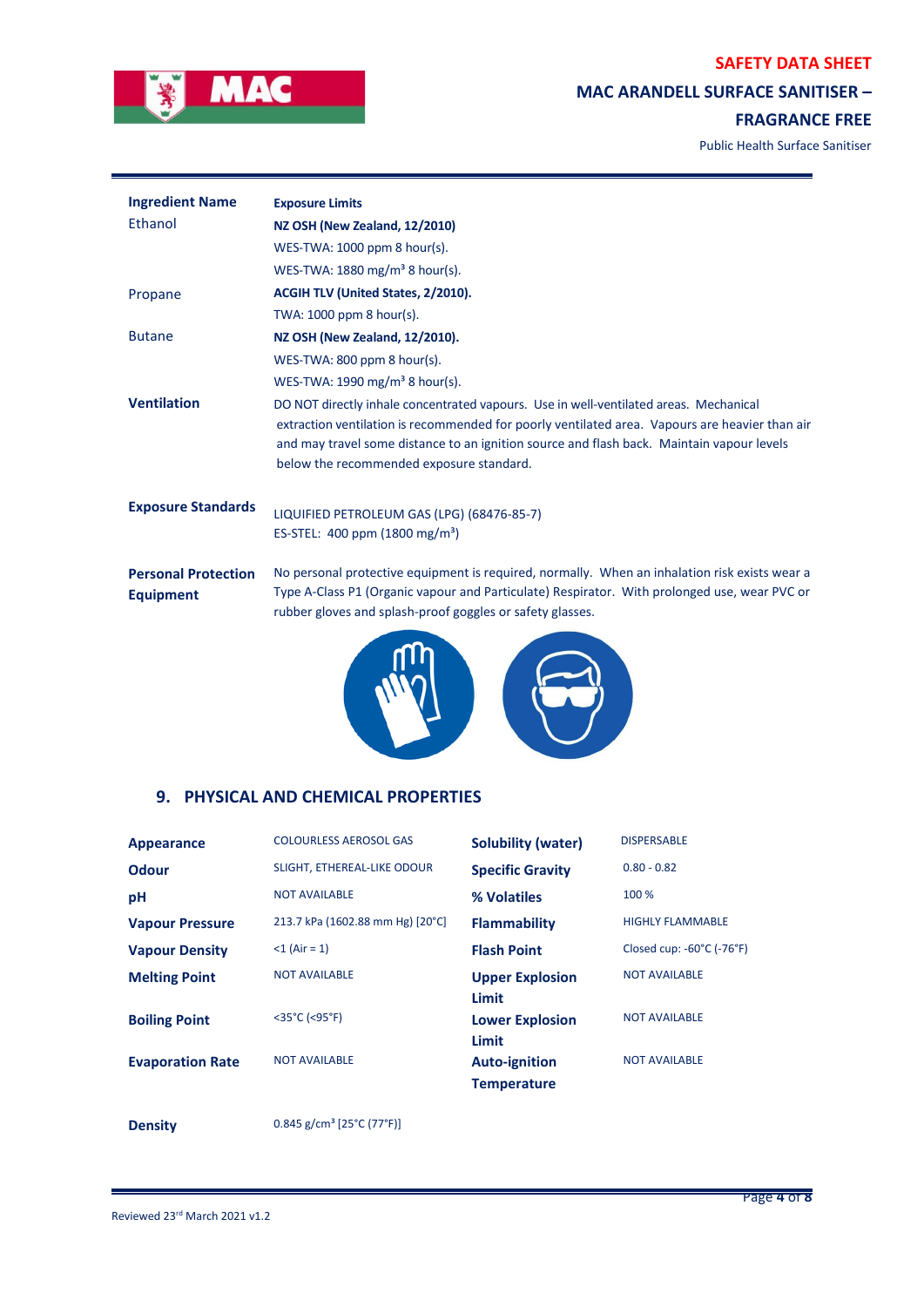

# **MAC ARANDELL SURFACE SANITISER –**

## **FRAGRANCE FREE**

Public Health Surface Sanitiser

| <b>Ingredient Name</b>                         | <b>Exposure Limits</b>                                                                                                                                                                                                                                                                                                           |
|------------------------------------------------|----------------------------------------------------------------------------------------------------------------------------------------------------------------------------------------------------------------------------------------------------------------------------------------------------------------------------------|
| Ethanol                                        | NZ OSH (New Zealand, 12/2010)                                                                                                                                                                                                                                                                                                    |
|                                                | WES-TWA: 1000 ppm 8 hour(s).                                                                                                                                                                                                                                                                                                     |
|                                                | WES-TWA: $1880 \text{ mg/m}^3$ 8 hour(s).                                                                                                                                                                                                                                                                                        |
| Propane                                        | <b>ACGIH TLV (United States, 2/2010).</b>                                                                                                                                                                                                                                                                                        |
|                                                | TWA: 1000 ppm 8 hour(s).                                                                                                                                                                                                                                                                                                         |
| <b>Butane</b>                                  | NZ OSH (New Zealand, 12/2010).                                                                                                                                                                                                                                                                                                   |
|                                                | WES-TWA: $800$ ppm $8$ hour(s).                                                                                                                                                                                                                                                                                                  |
|                                                | WES-TWA: 1990 mg/m <sup>3</sup> 8 hour(s).                                                                                                                                                                                                                                                                                       |
| <b>Ventilation</b>                             | DO NOT directly inhale concentrated vapours. Use in well-ventilated areas. Mechanical<br>extraction ventilation is recommended for poorly ventilated area. Vapours are heavier than air<br>and may travel some distance to an ignition source and flash back. Maintain vapour levels<br>below the recommended exposure standard. |
| <b>Exposure Standards</b>                      | LIQUIFIED PETROLEUM GAS (LPG) (68476-85-7)                                                                                                                                                                                                                                                                                       |
|                                                | ES-STEL: $400$ ppm (1800 mg/m <sup>3</sup> )                                                                                                                                                                                                                                                                                     |
| <b>Personal Protection</b><br><b>Equipment</b> | No personal protective equipment is required, normally. When an inhalation risk exists wear a<br>Type A-Class P1 (Organic vapour and Particulate) Respirator. With prolonged use, wear PVC or<br>rubber gloves and splash-proof goggles or safety glasses.                                                                       |
|                                                |                                                                                                                                                                                                                                                                                                                                  |



## **9. PHYSICAL AND CHEMICAL PROPERTIES**

| <b>Appearance</b>       | <b>COLOURLESS AEROSOL GAS</b>    | <b>Solubility (water)</b>                  | <b>DISPERSABLE</b>                             |
|-------------------------|----------------------------------|--------------------------------------------|------------------------------------------------|
| <b>Odour</b>            | SLIGHT, ETHEREAL-LIKE ODOUR      | <b>Specific Gravity</b>                    | $0.80 - 0.82$                                  |
| pH                      | <b>NOT AVAILABLE</b>             | % Volatiles                                | 100 %                                          |
| <b>Vapour Pressure</b>  | 213.7 kPa (1602.88 mm Hg) [20°C] | <b>Flammability</b>                        | <b>HIGHLY FLAMMABLE</b>                        |
| <b>Vapour Density</b>   | $<$ 1 (Air = 1)                  | <b>Flash Point</b>                         | Closed cup: $-60^{\circ}$ C ( $-76^{\circ}$ F) |
| <b>Melting Point</b>    | <b>NOT AVAILABLE</b>             | <b>Upper Explosion</b><br>Limit            | <b>NOT AVAILABLE</b>                           |
| <b>Boiling Point</b>    | $<$ 35°C (<95°F)                 | <b>Lower Explosion</b><br>Limit            | <b>NOT AVAILABLE</b>                           |
| <b>Evaporation Rate</b> | <b>NOT AVAILABLE</b>             | <b>Auto-ignition</b><br><b>Temperature</b> | <b>NOT AVAILABLE</b>                           |

**Density** 0.845 g/cm<sup>3</sup> [25°C (77°F)]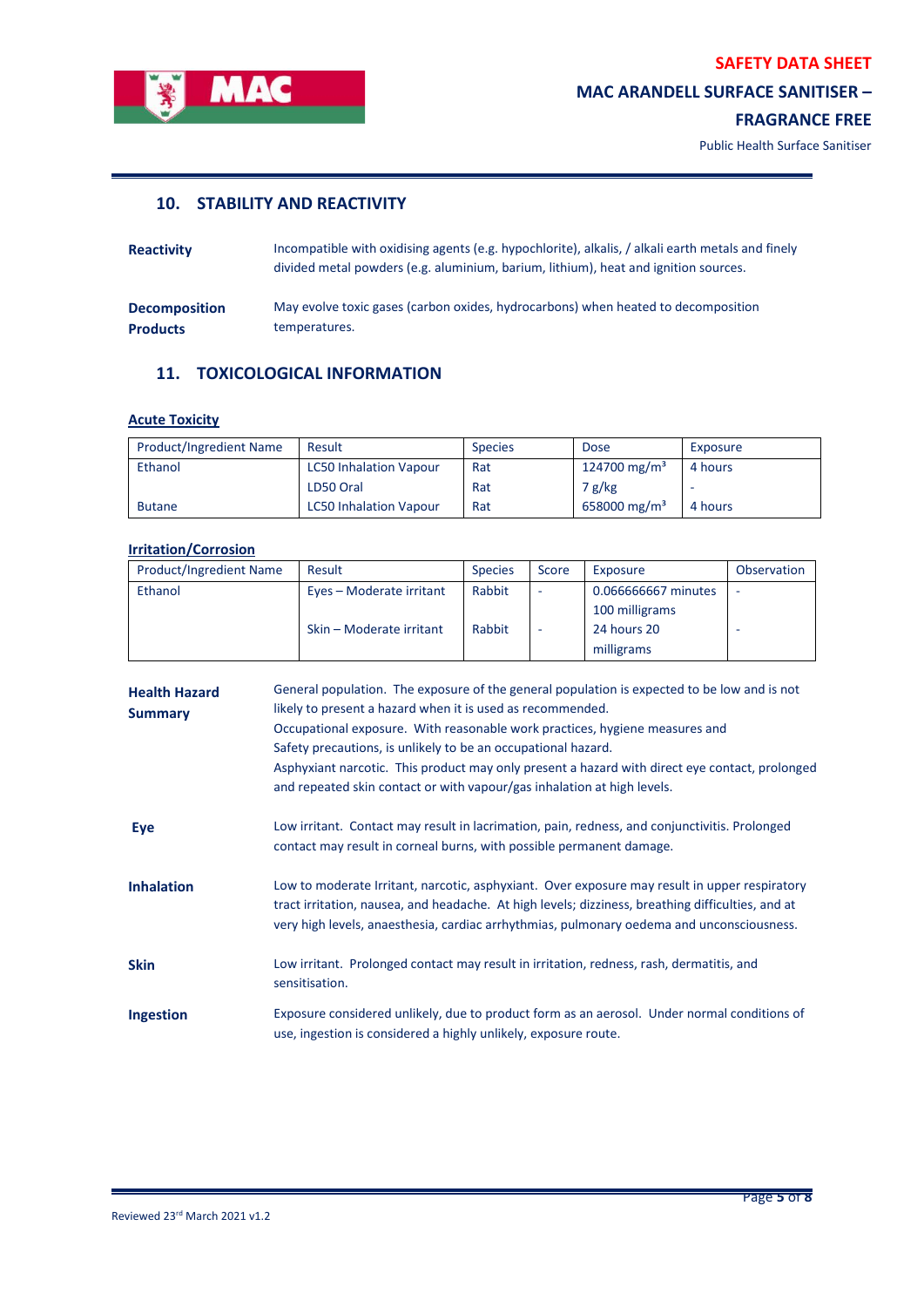

# **MAC ARANDELL SURFACE SANITISER –**

## **FRAGRANCE FREE**

L,

Public Health Surface Sanitiser

# **10. STABILITY AND REACTIVITY**

| <b>Reactivity</b>    | Incompatible with oxidising agents (e.g. hypochlorite), alkalis, / alkali earth metals and finely<br>divided metal powders (e.g. aluminium, barium, lithium), heat and ignition sources. |
|----------------------|------------------------------------------------------------------------------------------------------------------------------------------------------------------------------------------|
| <b>Decomposition</b> | May evolve toxic gases (carbon oxides, hydrocarbons) when heated to decomposition                                                                                                        |
| <b>Products</b>      | temperatures.                                                                                                                                                                            |

# **11. TOXICOLOGICAL INFORMATION**

## **Acute Toxicity**

| <b>Product/Ingredient Name</b> | Result                        | <b>Species</b> | <b>Dose</b>              | Exposure |
|--------------------------------|-------------------------------|----------------|--------------------------|----------|
| Ethanol                        | <b>LC50 Inhalation Vapour</b> | Rat            | 124700 mg/m <sup>3</sup> | 4 hours  |
|                                | LD50 Oral                     | Rat            | 7 g/kg                   |          |
| <b>Butane</b>                  | <b>LC50 Inhalation Vapour</b> | Rat            | 658000 mg/m <sup>3</sup> | 4 hours  |

## **Irritation/Corrosion**

| <b>Product/Ingredient Name</b> | Result                   | <b>Species</b> | Score                    | Exposure            | Observation |
|--------------------------------|--------------------------|----------------|--------------------------|---------------------|-------------|
| Ethanol                        | Eyes - Moderate irritant | Rabbit         | -                        | 0.066666667 minutes | ۰           |
|                                |                          |                |                          | 100 milligrams      |             |
|                                | Skin – Moderate irritant | Rabbit         | $\overline{\phantom{a}}$ | 24 hours 20         |             |
|                                |                          |                |                          | milligrams          |             |

| <b>Health Hazard</b><br><b>Summary</b> | General population. The exposure of the general population is expected to be low and is not<br>likely to present a hazard when it is used as recommended.<br>Occupational exposure. With reasonable work practices, hygiene measures and<br>Safety precautions, is unlikely to be an occupational hazard.<br>Asphyxiant narcotic. This product may only present a hazard with direct eye contact, prolonged<br>and repeated skin contact or with vapour/gas inhalation at high levels. |
|----------------------------------------|----------------------------------------------------------------------------------------------------------------------------------------------------------------------------------------------------------------------------------------------------------------------------------------------------------------------------------------------------------------------------------------------------------------------------------------------------------------------------------------|
| Eye                                    | Low irritant. Contact may result in lacrimation, pain, redness, and conjunctivitis. Prolonged<br>contact may result in corneal burns, with possible permanent damage.                                                                                                                                                                                                                                                                                                                  |
| <b>Inhalation</b>                      | Low to moderate Irritant, narcotic, asphyxiant. Over exposure may result in upper respiratory<br>tract irritation, nausea, and headache. At high levels; dizziness, breathing difficulties, and at<br>very high levels, anaesthesia, cardiac arrhythmias, pulmonary oedema and unconsciousness.                                                                                                                                                                                        |
| <b>Skin</b>                            | Low irritant. Prolonged contact may result in irritation, redness, rash, dermatitis, and<br>sensitisation.                                                                                                                                                                                                                                                                                                                                                                             |
| <b>Ingestion</b>                       | Exposure considered unlikely, due to product form as an aerosol. Under normal conditions of<br>use, ingestion is considered a highly unlikely, exposure route.                                                                                                                                                                                                                                                                                                                         |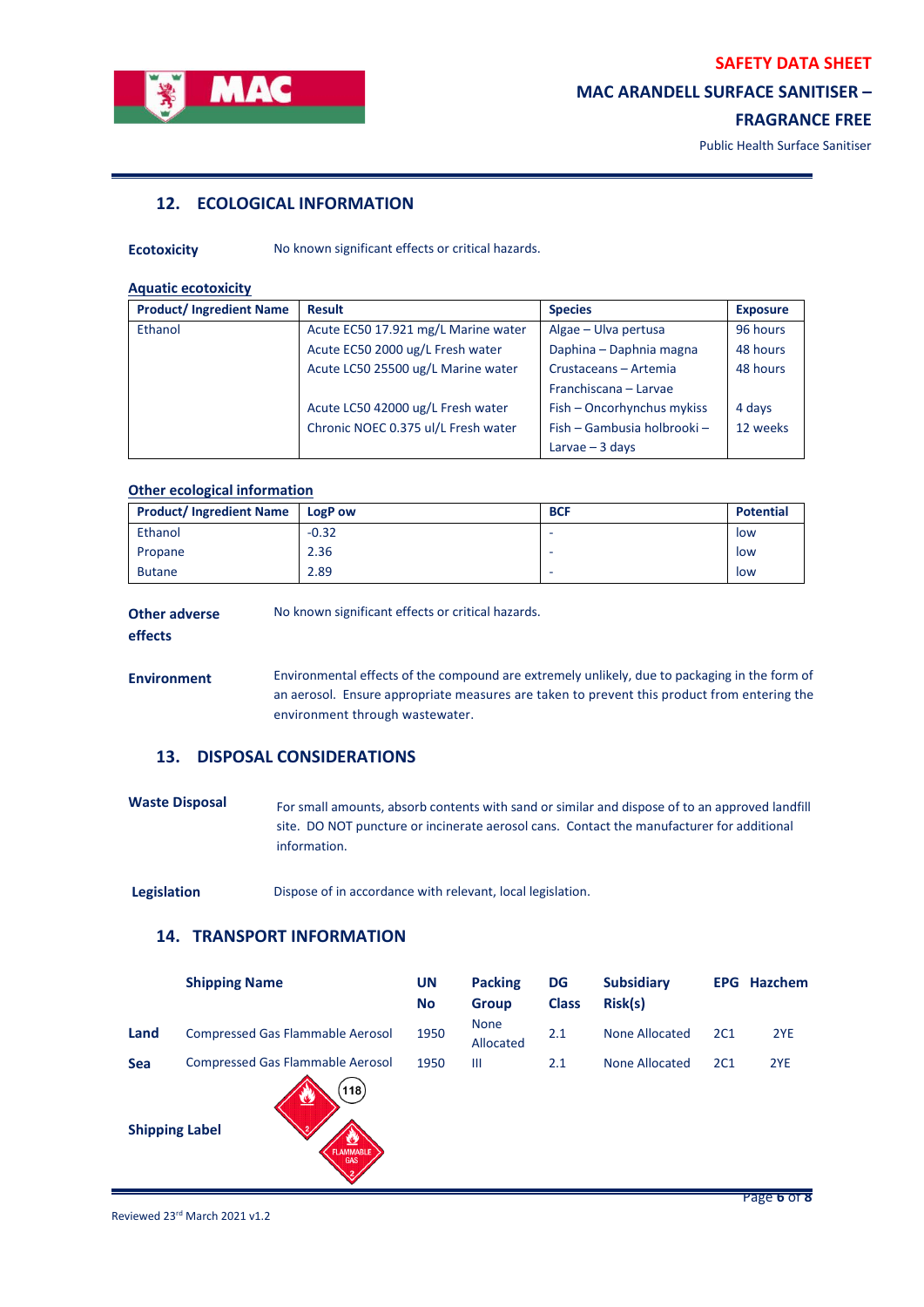

## **MAC ARANDELL SURFACE SANITISER –**

## **FRAGRANCE FREE**

Public Health Surface Sanitiser

# **12. ECOLOGICAL INFORMATION**

**Ecotoxicity** No known significant effects or critical hazards.

#### **Aquatic ecotoxicity**

| <b>Product/Ingredient Name</b> | <b>Result</b>                       | <b>Species</b>              | <b>Exposure</b> |
|--------------------------------|-------------------------------------|-----------------------------|-----------------|
| Ethanol                        | Acute EC50 17.921 mg/L Marine water | Algae - Ulva pertusa        | 96 hours        |
|                                | Acute EC50 2000 ug/L Fresh water    | Daphina - Daphnia magna     | 48 hours        |
|                                | Acute LC50 25500 ug/L Marine water  | Crustaceans - Artemia       | 48 hours        |
|                                |                                     | Franchiscana - Larvae       |                 |
|                                | Acute LC50 42000 ug/L Fresh water   | Fish - Oncorhynchus mykiss  | 4 days          |
|                                | Chronic NOEC 0.375 ul/L Fresh water | Fish - Gambusia holbrooki - | 12 weeks        |
|                                |                                     | Larvae $-3$ days            |                 |

## **Other ecological information**

| <b>Product/Ingredient Name</b> | <b>LogP</b> ow | <b>BCF</b> | <b>Potential</b> |
|--------------------------------|----------------|------------|------------------|
| Ethanol                        | $-0.32$        | -          | low              |
| Propane                        | 2.36           | -          | low              |
| <b>Butane</b>                  | 2.89           | -          | low              |

| <b>Other adverse</b> | No known significant effects or critical hazards. |  |  |  |
|----------------------|---------------------------------------------------|--|--|--|
| effects              |                                                   |  |  |  |

**Environment** Environmental effects of the compound are extremely unlikely, due to packaging in the form of an aerosol. Ensure appropriate measures are taken to prevent this product from entering the environment through wastewater.

## **13. DISPOSAL CONSIDERATIONS**

Waste Disposal For small amounts, absorb contents with sand or similar and dispose of to an approved landfill site. DO NOT puncture or incinerate aerosol cans. Contact the manufacturer for additional information.

**Legislation** Dispose of in accordance with relevant, local legislation.

# **14. TRANSPORT INFORMATION**

|                                     | <b>Shipping Name</b>                                                                                   | UN<br><b>No</b> | <b>Packing</b><br><b>Group</b> | <b>DG</b><br><b>Class</b> | <b>Subsidiary</b><br>Risk(s) |     | <b>EPG Hazchem</b> |
|-------------------------------------|--------------------------------------------------------------------------------------------------------|-----------------|--------------------------------|---------------------------|------------------------------|-----|--------------------|
| Land                                | <b>Compressed Gas Flammable Aerosol</b>                                                                | 1950            | <b>None</b><br>Allocated       | 2.1                       | <b>None Allocated</b>        | 2C1 | 2YE                |
| <b>Sea</b><br><b>Shipping Label</b> | <b>Compressed Gas Flammable Aerosol</b><br>(118)<br>v<br>2<br><u>72</u><br>FLAMMABLE<br>$\overline{2}$ | 1950            | Ш                              | 2.1                       | None Allocated               | 2C1 | 2YE                |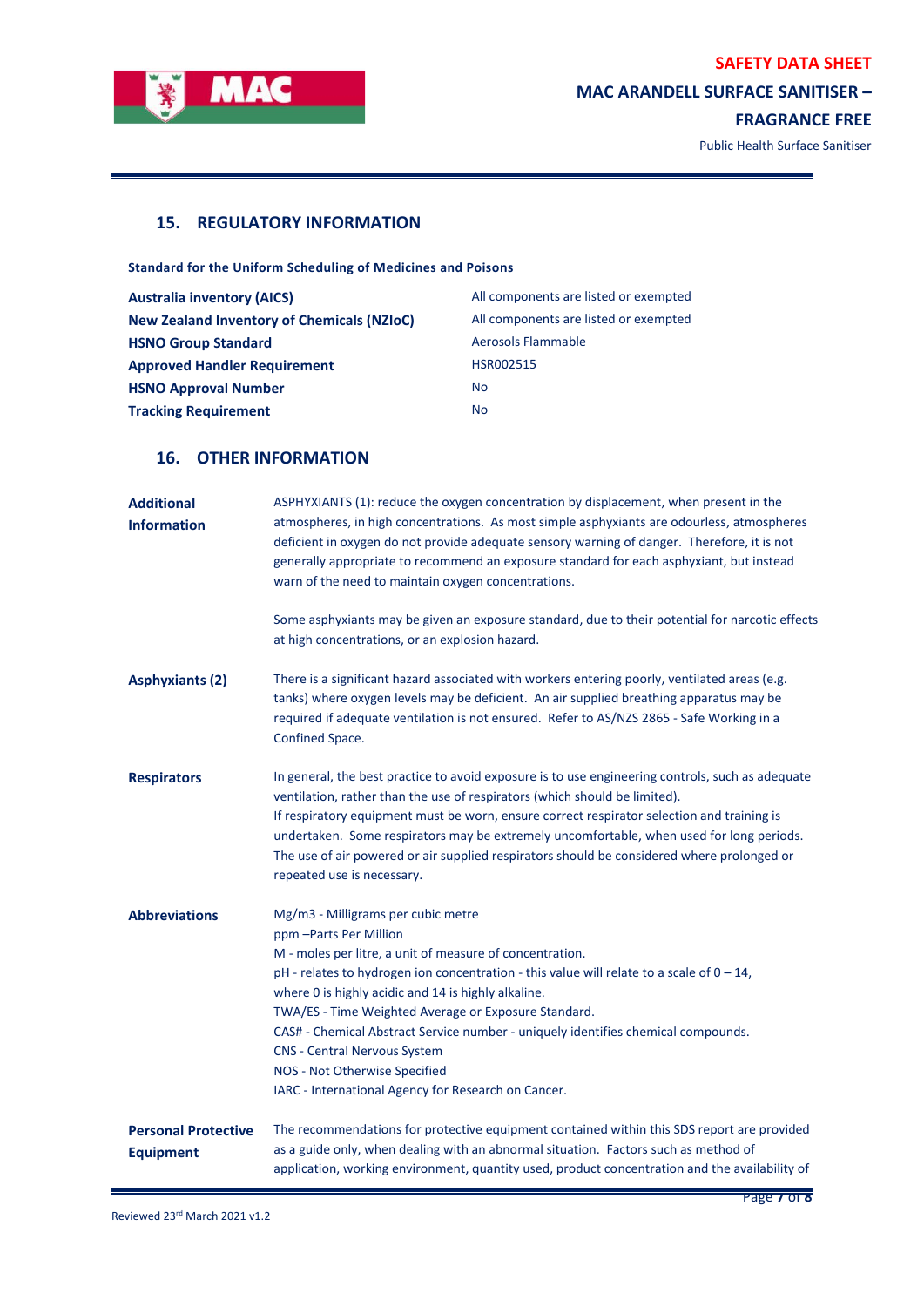

# **MAC ARANDELL SURFACE SANITISER –**

**FRAGRANCE FREE**

L,

Public Health Surface Sanitiser

# **15. REGULATORY INFORMATION**

**Standard for the Uniform Scheduling of Medicines and Poisons**

| <b>Australia inventory (AICS)</b>                 | All components are listed or exempted |
|---------------------------------------------------|---------------------------------------|
| <b>New Zealand Inventory of Chemicals (NZIoC)</b> | All components are listed or exempted |
| <b>HSNO Group Standard</b>                        | Aerosols Flammable                    |
| <b>Approved Handler Requirement</b>               | HSR002515                             |
| <b>HSNO Approval Number</b>                       | <b>No</b>                             |
| <b>Tracking Requirement</b>                       | <b>No</b>                             |

# **16. OTHER INFORMATION**

| <b>Additional</b><br><b>Information</b>        | ASPHYXIANTS (1): reduce the oxygen concentration by displacement, when present in the<br>atmospheres, in high concentrations. As most simple asphyxiants are odourless, atmospheres<br>deficient in oxygen do not provide adequate sensory warning of danger. Therefore, it is not<br>generally appropriate to recommend an exposure standard for each asphyxiant, but instead<br>warn of the need to maintain oxygen concentrations.<br>Some asphyxiants may be given an exposure standard, due to their potential for narcotic effects<br>at high concentrations, or an explosion hazard. |
|------------------------------------------------|---------------------------------------------------------------------------------------------------------------------------------------------------------------------------------------------------------------------------------------------------------------------------------------------------------------------------------------------------------------------------------------------------------------------------------------------------------------------------------------------------------------------------------------------------------------------------------------------|
| <b>Asphyxiants (2)</b>                         | There is a significant hazard associated with workers entering poorly, ventilated areas (e.g.<br>tanks) where oxygen levels may be deficient. An air supplied breathing apparatus may be<br>required if adequate ventilation is not ensured. Refer to AS/NZS 2865 - Safe Working in a<br>Confined Space.                                                                                                                                                                                                                                                                                    |
| <b>Respirators</b>                             | In general, the best practice to avoid exposure is to use engineering controls, such as adequate<br>ventilation, rather than the use of respirators (which should be limited).<br>If respiratory equipment must be worn, ensure correct respirator selection and training is<br>undertaken. Some respirators may be extremely uncomfortable, when used for long periods.<br>The use of air powered or air supplied respirators should be considered where prolonged or<br>repeated use is necessary.                                                                                        |
| <b>Abbreviations</b>                           | Mg/m3 - Milligrams per cubic metre<br>ppm - Parts Per Million<br>M - moles per litre, a unit of measure of concentration.<br>pH - relates to hydrogen ion concentration - this value will relate to a scale of $0 - 14$ ,<br>where 0 is highly acidic and 14 is highly alkaline.<br>TWA/ES - Time Weighted Average or Exposure Standard.<br>CAS# - Chemical Abstract Service number - uniquely identifies chemical compounds.<br><b>CNS - Central Nervous System</b><br>NOS - Not Otherwise Specified<br>IARC - International Agency for Research on Cancer.                                |
| <b>Personal Protective</b><br><b>Equipment</b> | The recommendations for protective equipment contained within this SDS report are provided<br>as a guide only, when dealing with an abnormal situation. Factors such as method of<br>application, working environment, quantity used, product concentration and the availability of                                                                                                                                                                                                                                                                                                         |